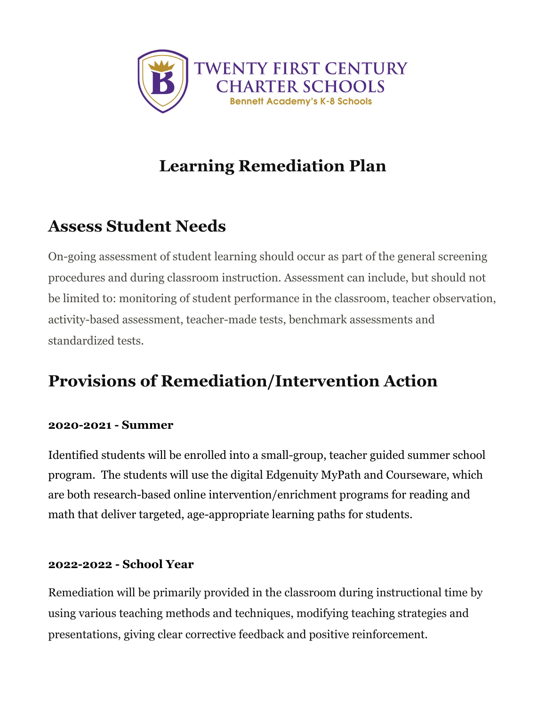

# **Learning Remediation Plan**

### **Assess Student Needs**

On-going assessment of student learning should occur as part of the general screening procedures and during classroom instruction. Assessment can include, but should not be limited to: monitoring of student performance in the classroom, teacher observation, activity-based assessment, teacher-made tests, benchmark assessments and standardized tests.

# **Provisions of Remediation/Intervention Action**

#### **2020-2021 - Summer**

Identified students will be enrolled into a small-group, teacher guided summer school program. The students will use the digital Edgenuity MyPath and Courseware, which are both research-based online intervention/enrichment programs for reading and math that deliver targeted, age-appropriate learning paths for students.

#### **2022-2022 - School Year**

Remediation will be primarily provided in the classroom during instructional time by using various teaching methods and techniques, modifying teaching strategies and presentations, giving clear corrective feedback and positive reinforcement.